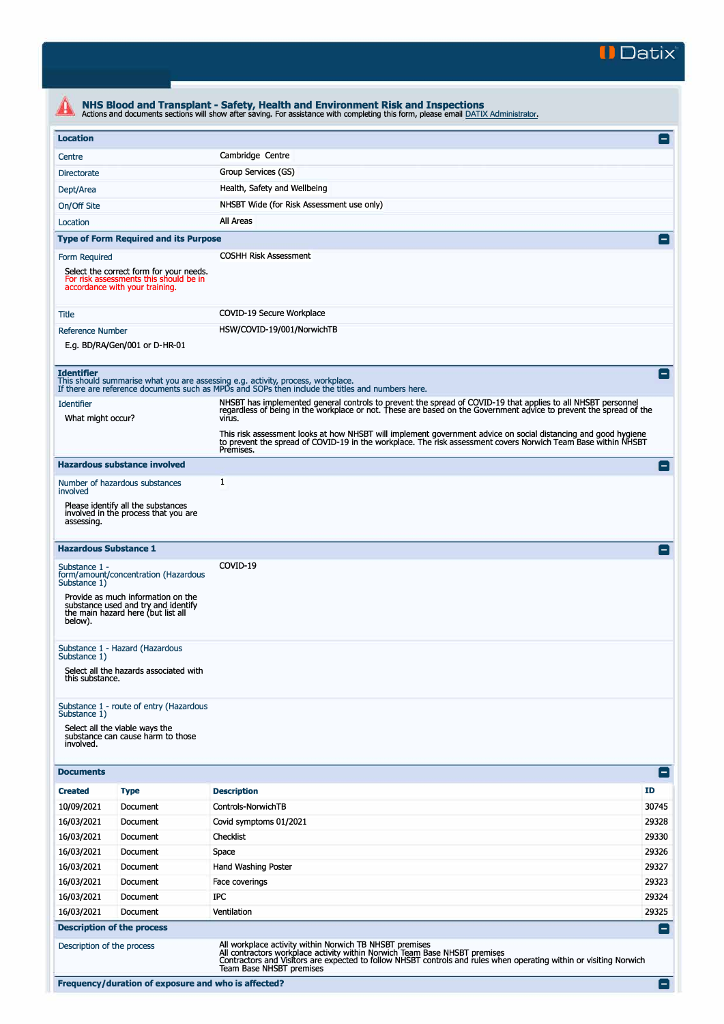

| <b>Location</b>               |                                                                                                                     |                                                                                                                                                                                                                                                             | $\vert - \vert$ |
|-------------------------------|---------------------------------------------------------------------------------------------------------------------|-------------------------------------------------------------------------------------------------------------------------------------------------------------------------------------------------------------------------------------------------------------|-----------------|
| Centre                        |                                                                                                                     | Cambridge Centre                                                                                                                                                                                                                                            |                 |
| <b>Directorate</b>            |                                                                                                                     | Group Services (GS)                                                                                                                                                                                                                                         |                 |
| Dept/Area                     |                                                                                                                     | Health, Safety and Wellbeing                                                                                                                                                                                                                                |                 |
| On/Off Site                   |                                                                                                                     | NHSBT Wide (for Risk Assessment use only)                                                                                                                                                                                                                   |                 |
| Location                      |                                                                                                                     | All Areas                                                                                                                                                                                                                                                   |                 |
|                               | <b>Type of Form Required and its Purpose</b>                                                                        |                                                                                                                                                                                                                                                             |                 |
| Form Required                 |                                                                                                                     | <b>COSHH Risk Assessment</b>                                                                                                                                                                                                                                |                 |
|                               | Select the correct form for your needs.<br>For risk assessments this should be in<br>accordance with your training. |                                                                                                                                                                                                                                                             |                 |
| Title                         |                                                                                                                     | COVID-19 Secure Workplace                                                                                                                                                                                                                                   |                 |
| <b>Reference Number</b>       |                                                                                                                     | HSW/COVID-19/001/NorwichTB                                                                                                                                                                                                                                  |                 |
|                               | E.g. BD/RA/Gen/001 or D-HR-01                                                                                       |                                                                                                                                                                                                                                                             |                 |
| <b>Identifier</b>             |                                                                                                                     | This should summarise what you are assessing e.g. activity, process, workplace.<br>If there are reference documents such as MPDs and SOPs then include the titles and numbers here.                                                                         | н.              |
| <b>Identifier</b>             |                                                                                                                     | NHSBT has implemented general controls to prevent the spread of COVID-19 that applies to all NHSBT personnel<br>regardless of being in the workplace or not. These are based on the Government advice to prevent the spread of the                          |                 |
| What might occur?             |                                                                                                                     | virus.                                                                                                                                                                                                                                                      |                 |
|                               |                                                                                                                     | This risk assessment looks at how NHSBT will implement government advice on social distancing and good hygiene<br>to prevent the spread of COVID-19 in the workplace. The risk assessment covers Norwich Team Base within NHSBT<br>Premises.                |                 |
|                               | <b>Hazardous substance involved</b>                                                                                 |                                                                                                                                                                                                                                                             | Е               |
| involved                      | Number of hazardous substances                                                                                      | 1                                                                                                                                                                                                                                                           |                 |
| assessing.                    | Please identify all the substances<br>involved in the process that you are                                          |                                                                                                                                                                                                                                                             |                 |
|                               | <b>Hazardous Substance 1</b>                                                                                        |                                                                                                                                                                                                                                                             | ⊟               |
| Substance 1 -<br>Substance 1) | form/amount/concentration (Hazardous                                                                                | COVID-19                                                                                                                                                                                                                                                    |                 |
| below).                       | Provide as much information on the<br>substance used and try and identify<br>the main hazard here (but list all     |                                                                                                                                                                                                                                                             |                 |
| Substance 1)                  | Substance 1 - Hazard (Hazardous                                                                                     |                                                                                                                                                                                                                                                             |                 |
| this substance.               | Select all the hazards associated with                                                                              |                                                                                                                                                                                                                                                             |                 |
|                               | Substance 1 - route of entry (Hazardous                                                                             |                                                                                                                                                                                                                                                             |                 |
| Substance 1)<br>involved.     | Select all the viable ways the<br>substance can cause harm to those                                                 |                                                                                                                                                                                                                                                             |                 |
| <b>Documents</b>              |                                                                                                                     |                                                                                                                                                                                                                                                             | -1              |
| <b>Created</b>                | <b>Type</b>                                                                                                         | <b>Description</b>                                                                                                                                                                                                                                          | <b>ID</b>       |
| 10/09/2021                    | Document                                                                                                            | Controls-NorwichTB                                                                                                                                                                                                                                          | 30745           |
| 16/03/2021                    | Document                                                                                                            | Covid symptoms 01/2021                                                                                                                                                                                                                                      | 29328           |
| 16/03/2021                    | Document                                                                                                            | Checklist                                                                                                                                                                                                                                                   | 29330           |
| 16/03/2021                    | Document                                                                                                            | Space                                                                                                                                                                                                                                                       | 29326           |
| 16/03/2021                    | Document                                                                                                            | Hand Washing Poster                                                                                                                                                                                                                                         | 29327           |
| 16/03/2021                    | Document                                                                                                            | Face coverings                                                                                                                                                                                                                                              | 29323           |
| 16/03/2021                    | Document                                                                                                            | IPC                                                                                                                                                                                                                                                         | 29324           |
| 16/03/2021                    | Document                                                                                                            | Ventilation                                                                                                                                                                                                                                                 | 29325           |
|                               | <b>Description of the process</b>                                                                                   |                                                                                                                                                                                                                                                             | $\blacksquare$  |
|                               | Description of the process                                                                                          | All workplace activity within Norwich TB NHSBT premises<br>All contractors workplace activity within Norwich Team Base NHSBT premises<br>Contractors and Visitors are expected to follow NHSBT controls and rules when operating within or visiting Norwich |                 |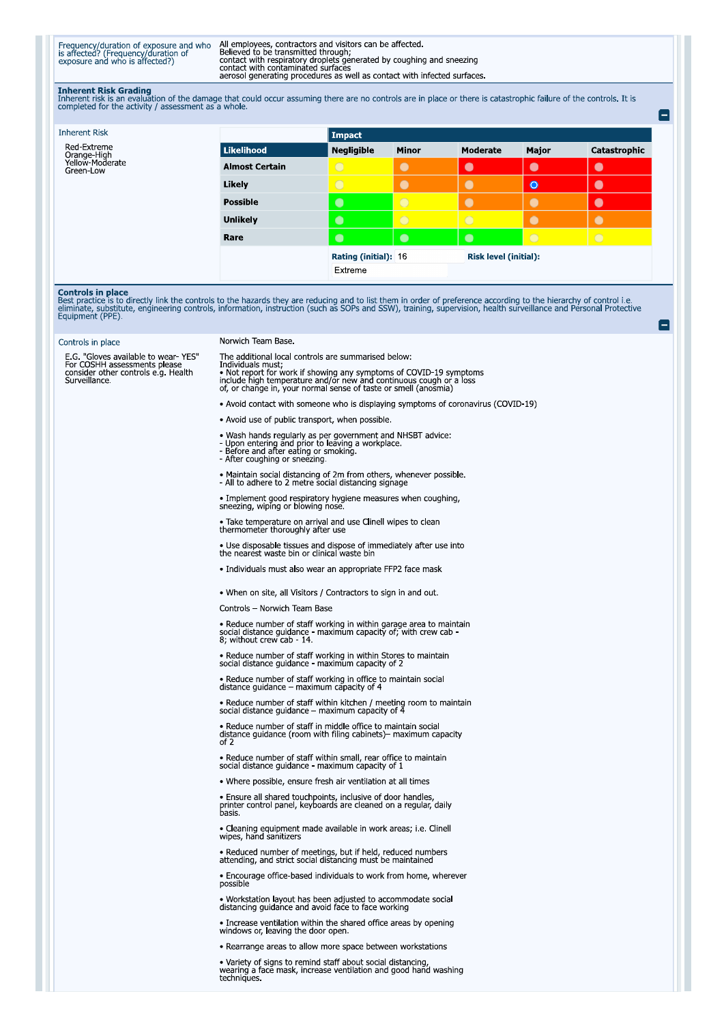Frequency/duration of exposure and who<br>is affected? (Frequency/duration of<br>exposure and who is affected?)

All employees, contractors and visitors can be affected.<br>Believed to be transmitted through;<br>contact with respiratory droplets generated by coughing and sneezing<br>contact with contaminated surfaces<br>aerosol generating proced

Inherent Risk Grading<br>Inherent risk is an evaluation of the damage that could occur assuming there are no controls are in place or there is catastrophic failure of the controls. It is<br>completed for the activity / assessmen

| <b>Inherent Risk</b>                        |                       | Impact                |                |                              |            |              |
|---------------------------------------------|-----------------------|-----------------------|----------------|------------------------------|------------|--------------|
| Red-Extreme                                 | Likelihood            | <b>Negligible</b>     | <b>Minor</b>   | <b>Moderate</b>              | Major      | Catastrophic |
| Orange-High<br>Yellow-Moderate<br>Green-Low | <b>Almost Certain</b> | $\circ$               | $\bullet$      | $\bullet$                    | $\bullet$  | $\bullet$    |
|                                             | Likely                | $\overline{\bigcirc}$ | $\bullet$      | $\bullet$                    | $\bullet$  |              |
|                                             | <b>Possible</b>       | $\bullet$             | $\overline{O}$ | $\bullet$                    | $\bullet$  |              |
|                                             | <b>Unlikely</b>       | $\bullet$             | $\circ$        | $\bigcirc$                   |            |              |
|                                             | Rare                  | $\bullet$             | $\bullet$      | $\bullet$                    | $\bigcirc$ | $\bigcirc$   |
|                                             |                       | Rating (initial): 16  |                | <b>Risk level (initial):</b> |            |              |
|                                             |                       | Extreme               |                |                              |            |              |

e

e

**Controls in place**<br>Best practice is to directly link the controls to the hazards they are reducing and to list them in order of preference according to the hierarchy of control i.e.<br>eliminate, substitute, engineering cont

| Controls in place                                                                                                           |  |
|-----------------------------------------------------------------------------------------------------------------------------|--|
| E.G. "Gloves available to wear YES"<br>For COSHH assessments please<br>consider other controls e.g. Health<br>Surveillance. |  |

## Norwich Team Base.

The additional local controls are summarised below:

The additional local controls are summansed below.<br>
Individuals must;<br>
Individuals must;<br>
• Not report for work if showing any symptoms of COVID-19 symptoms<br>
include high temperature and/or new and continuous cough or a lo

. Avoid contact with someone who is displaying symptoms of coronavirus (COVID-19)

- Avoid use of public transport, when possible.
- Wash hands regularly as per government and NHSBT advice:<br>- Upon entering and prior to leaving a workplace.<br>- Before and after eating or smoking.<br>- After coughing or sneezing.
- 
- 

• Maintain social distancing of 2m from others, whenever possible.<br>- All to adhere to 2 metre social distancing signage

. Implement good respiratory hygiene measures when coughing, sneezing, wiping or blowing nose.

• Take temperature on arrival and use Clinell wipes to clean<br>thermometer thoroughly after use

• Use disposable tissues and dispose of immediately after use into the nearest waste bin or clinical waste bin

· Individuals must also wear an appropriate FFP2 face mask

. When on site, all Visitors / Contractors to sign in and out.

Controls - Norwich Team Base

• Reduce number of staff working in within garage area to maintain social distance guidance - maximum capacity of; with crew cab - 8; without crew cab - 14.

• Reduce number of staff working in within Stores to maintain social distance guidance - maximum capacity of 2

• Reduce number of staff working in office to maintain social distance guidance – maximum capacity of 4

• Reduce number of staff within kitchen / meeting room to maintain social distance guidance – maximum capacity of 4

• Reduce number of staff in middle office to maintain social<br>distance guidance (room with filing cabinets)– maximum capacity<br>of 2

• Reduce number of staff within small, rear office to maintain<br>social distance guidance - maximum capacity of 1

. Where possible, ensure fresh air ventilation at all times

• Ensure all shared touchpoints, inclusive of door handles,<br>printer control panel, keyboards are cleaned on a regular, daily<br>basis.

• Cleaning equipment made available in work areas; i.e. Clinell wipes, hand sanitizers

• Reduced number of meetings, but if held, reduced numbers<br>attending, and strict social distancing must be maintained

• Encourage office-based individuals to work from home, wherever possible

• Workstation layout has been adjusted to accommodate social distancing guidance and avoid face to face working

• Increase ventilation within the shared office areas by opening windows or, leaving the door open.

· Rearrange areas to allow more space between workstations

. Variety of signs to remind staff about social distancing,<br>wearing a face mask, increase ventilation and good hand washing techniques